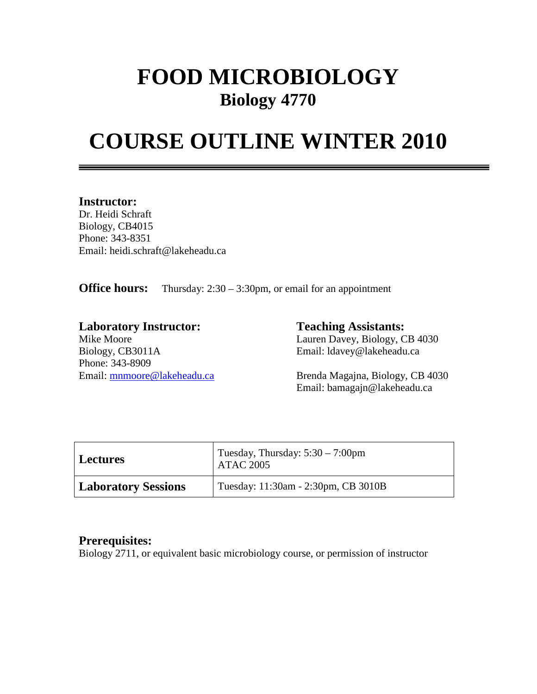# **FOOD MICROBIOLOGY Biology 4770**

# **COURSE OUTLINE WINTER 2010**

#### **Instructor:**

Dr. Heidi Schraft Biology, CB4015 Phone: 343-8351 Email: heidi.schraft@lakeheadu.ca

**Office hours:** Thursday: 2:30 – 3:30pm, or email for an appointment

**Laboratory Instructor: Teaching Assistants:**  Biology, CB3011A Email: ldavey@lakeheadu.ca Phone: 343-8909

Mike Moore Lauren Davey, Biology, CB 4030

Email: **mnmoore@lakeheadu.ca** Brenda Magajna, Biology, CB 4030 Email: bamagajn@lakeheadu.ca

| <b>Lectures</b>            | Tuesday, Thursday: $5:30 - 7:00$ pm<br><b>ATAC 2005</b> |
|----------------------------|---------------------------------------------------------|
| <b>Laboratory Sessions</b> | Tuesday: 11:30am - 2:30pm, CB 3010B                     |

### **Prerequisites:**

Biology 2711, or equivalent basic microbiology course, or permission of instructor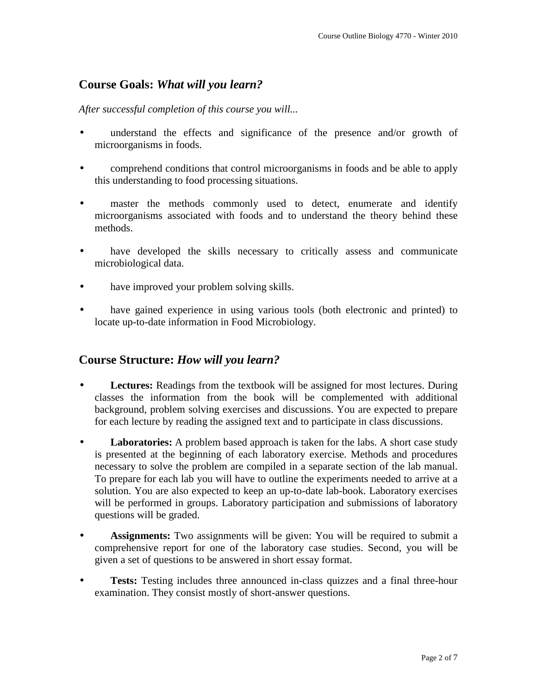# **Course Goals:** *What will you learn?*

*After successful completion of this course you will...*

- understand the effects and significance of the presence and/or growth of microorganisms in foods.
- comprehend conditions that control microorganisms in foods and be able to apply this understanding to food processing situations.
- master the methods commonly used to detect, enumerate and identify microorganisms associated with foods and to understand the theory behind these methods.
- have developed the skills necessary to critically assess and communicate microbiological data.
- have improved your problem solving skills.
- have gained experience in using various tools (both electronic and printed) to locate up-to-date information in Food Microbiology.

### **Course Structure:** *How will you learn?*

- **Lectures:** Readings from the textbook will be assigned for most lectures. During classes the information from the book will be complemented with additional background, problem solving exercises and discussions. You are expected to prepare for each lecture by reading the assigned text and to participate in class discussions.
- **Laboratories:** A problem based approach is taken for the labs. A short case study is presented at the beginning of each laboratory exercise. Methods and procedures necessary to solve the problem are compiled in a separate section of the lab manual. To prepare for each lab you will have to outline the experiments needed to arrive at a solution. You are also expected to keep an up-to-date lab-book. Laboratory exercises will be performed in groups. Laboratory participation and submissions of laboratory questions will be graded.
- **Assignments:** Two assignments will be given: You will be required to submit a comprehensive report for one of the laboratory case studies. Second, you will be given a set of questions to be answered in short essay format.
- **Tests:** Testing includes three announced in-class quizzes and a final three-hour examination. They consist mostly of short-answer questions.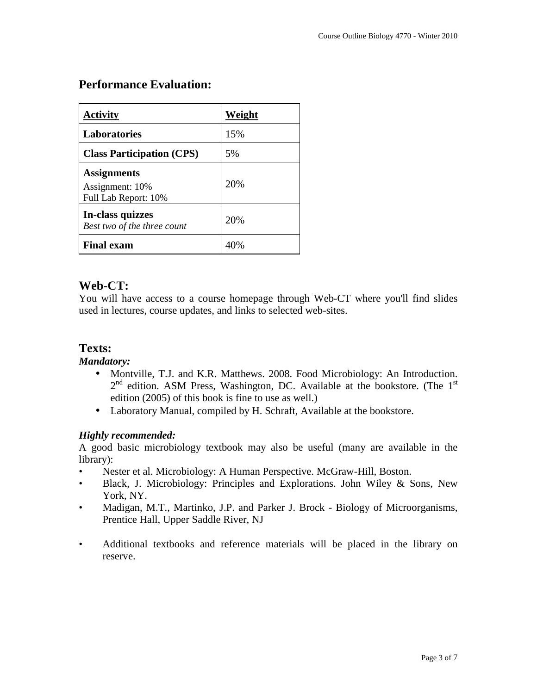# **Performance Evaluation:**

| Activity                                                      | Weight |
|---------------------------------------------------------------|--------|
| <b>Laboratories</b>                                           | 15%    |
| <b>Class Participation (CPS)</b>                              | 5%     |
| <b>Assignments</b><br>Assignment: 10%<br>Full Lab Report: 10% | 20%    |
| In-class quizzes<br>Best two of the three count               | 20%    |
| <b>Final exam</b>                                             |        |

# **Web-CT:**

You will have access to a course homepage through Web-CT where you'll find slides used in lectures, course updates, and links to selected web-sites.

## **Texts:**

#### *Mandatory:*

- Montville, T.J. and K.R. Matthews. 2008. Food Microbiology: An Introduction.  $2<sup>nd</sup>$  edition. ASM Press, Washington, DC. Available at the bookstore. (The  $1<sup>st</sup>$ edition (2005) of this book is fine to use as well.)
- Laboratory Manual, compiled by H. Schraft, Available at the bookstore.

#### *Highly recommended:*

A good basic microbiology textbook may also be useful (many are available in the library):

- Nester et al. Microbiology: A Human Perspective. McGraw-Hill, Boston.
- Black, J. Microbiology: Principles and Explorations. John Wiley & Sons, New York, NY.
- Madigan, M.T., Martinko, J.P. and Parker J. Brock Biology of Microorganisms, Prentice Hall, Upper Saddle River, NJ
- Additional textbooks and reference materials will be placed in the library on reserve.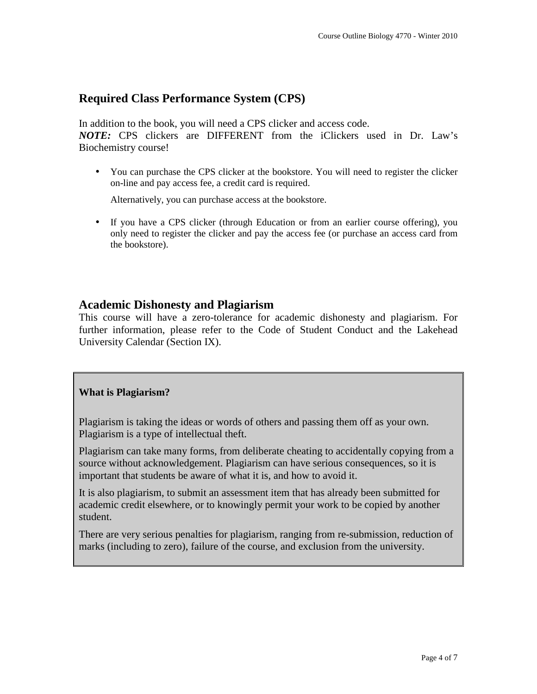### **Required Class Performance System (CPS)**

In addition to the book, you will need a CPS clicker and access code.

*NOTE:* CPS clickers are DIFFERENT from the iClickers used in Dr. Law's Biochemistry course!

• You can purchase the CPS clicker at the bookstore. You will need to register the clicker on-line and pay access fee, a credit card is required.

Alternatively, you can purchase access at the bookstore.

• If you have a CPS clicker (through Education or from an earlier course offering), you only need to register the clicker and pay the access fee (or purchase an access card from the bookstore).

#### **Academic Dishonesty and Plagiarism**

This course will have a zero-tolerance for academic dishonesty and plagiarism. For further information, please refer to the Code of Student Conduct and the Lakehead University Calendar (Section IX).

#### **What is Plagiarism?**

Plagiarism is taking the ideas or words of others and passing them off as your own. Plagiarism is a type of intellectual theft.

Plagiarism can take many forms, from deliberate cheating to accidentally copying from a source without acknowledgement. Plagiarism can have serious consequences, so it is important that students be aware of what it is, and how to avoid it.

It is also plagiarism, to submit an assessment item that has already been submitted for academic credit elsewhere, or to knowingly permit your work to be copied by another student.

There are very serious penalties for plagiarism, ranging from re-submission, reduction of marks (including to zero), failure of the course, and exclusion from the university.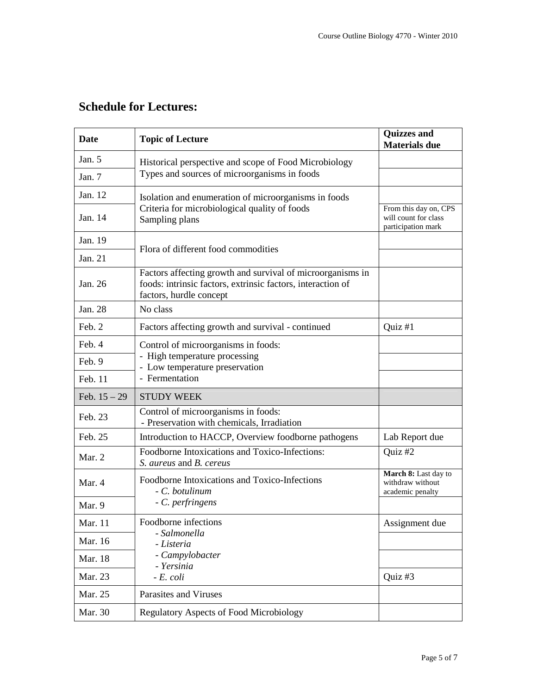# **Schedule for Lectures:**

| Date           | <b>Topic of Lecture</b>                                                                                                                              | <b>Quizzes and</b><br><b>Materials due</b>                          |
|----------------|------------------------------------------------------------------------------------------------------------------------------------------------------|---------------------------------------------------------------------|
| Jan. $5$       | Historical perspective and scope of Food Microbiology                                                                                                |                                                                     |
| Jan. 7         | Types and sources of microorganisms in foods                                                                                                         |                                                                     |
| Jan. 12        | Isolation and enumeration of microorganisms in foods                                                                                                 |                                                                     |
| Jan. 14        | Criteria for microbiological quality of foods<br>Sampling plans                                                                                      | From this day on, CPS<br>will count for class<br>participation mark |
| Jan. 19        | Flora of different food commodities                                                                                                                  |                                                                     |
| Jan. 21        |                                                                                                                                                      |                                                                     |
| Jan. 26        | Factors affecting growth and survival of microorganisms in<br>foods: intrinsic factors, extrinsic factors, interaction of<br>factors, hurdle concept |                                                                     |
| Jan. 28        | No class                                                                                                                                             |                                                                     |
| Feb. 2         | Factors affecting growth and survival - continued                                                                                                    | Quiz $#1$                                                           |
| Feb. 4         | Control of microorganisms in foods:                                                                                                                  |                                                                     |
| Feb. 9         | - High temperature processing<br>- Low temperature preservation                                                                                      |                                                                     |
| Feb. 11        | - Fermentation                                                                                                                                       |                                                                     |
| Feb. $15 - 29$ | <b>STUDY WEEK</b>                                                                                                                                    |                                                                     |
| Feb. 23        | Control of microorganisms in foods:<br>- Preservation with chemicals, Irradiation                                                                    |                                                                     |
| Feb. 25        | Introduction to HACCP, Overview foodborne pathogens                                                                                                  | Lab Report due                                                      |
| Mar. 2         | Foodborne Intoxications and Toxico-Infections:<br>S. aureus and B. cereus                                                                            | Quiz #2                                                             |
| Mar. 4         | Foodborne Intoxications and Toxico-Infections<br>- C. botulinum                                                                                      | March 8: Last day to<br>withdraw without<br>academic penalty        |
| Mar. 9         | - C. perfringens                                                                                                                                     |                                                                     |
| Mar. 11        | Foodborne infections                                                                                                                                 | Assignment due                                                      |
| Mar. 16        | - Salmonella<br>- Listeria                                                                                                                           |                                                                     |
| Mar. 18        | - Campylobacter<br>- Yersinia                                                                                                                        |                                                                     |
| Mar. 23        | $-E$ , coli                                                                                                                                          | Quiz #3                                                             |
| Mar. 25        | Parasites and Viruses                                                                                                                                |                                                                     |
| Mar. 30        | <b>Regulatory Aspects of Food Microbiology</b>                                                                                                       |                                                                     |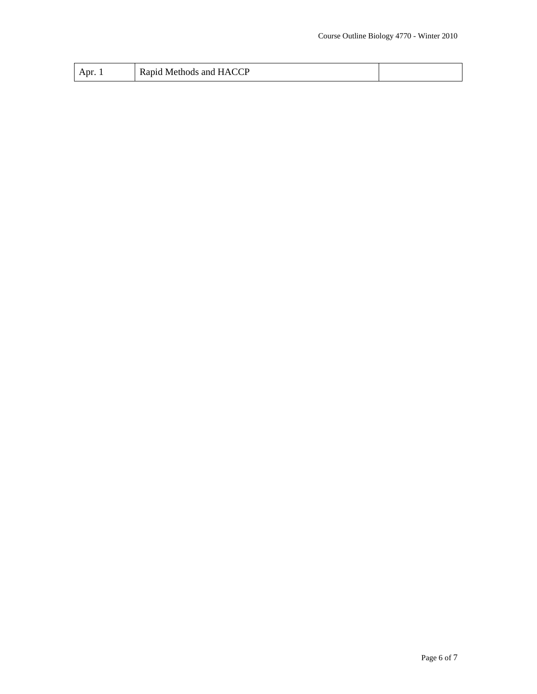| Apr. | $\sim$ $\sim$ $\sim$<br>ш<br>Methods<br>and<br>۰А۰<br>$\sim$<br>.nıa<br>18.G<br>novi |  |
|------|--------------------------------------------------------------------------------------|--|
|------|--------------------------------------------------------------------------------------|--|